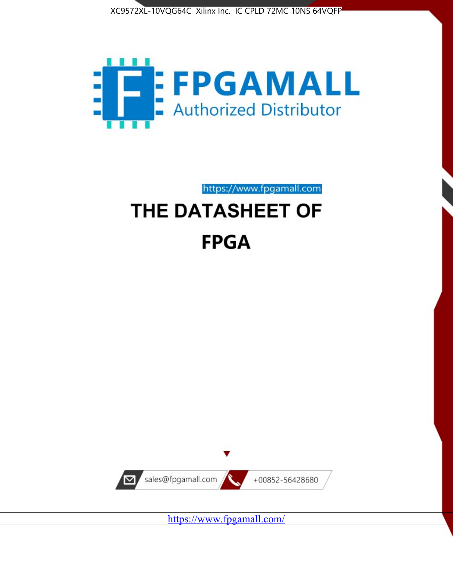



https://www.fpgamall.com

# THE DATASHEET OF **FPGA**



https://www.fpgamall.com/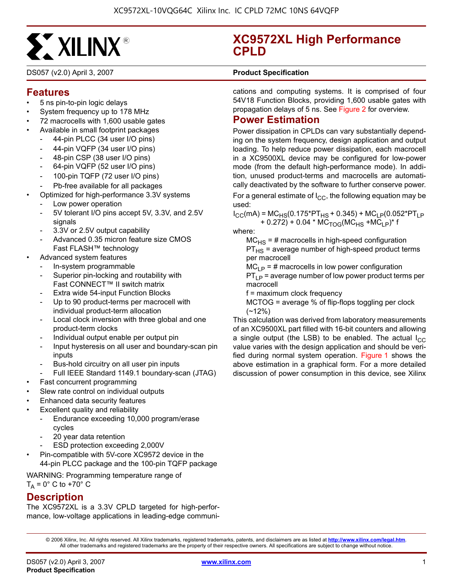

DS057 (v2.0) April 3, 2007 **0 0 Product Specification**

#### **Features**

- 5 ns pin-to-pin logic delays
- System frequency up to 178 MHz
- 72 macrocells with 1,600 usable gates
- Available in small footprint packages
	- 44-pin PLCC (34 user I/O pins)
	- 44-pin VQFP (34 user I/O pins)
	- 48-pin CSP (38 user I/O pins)
	- 64-pin VQFP (52 user I/O pins)
	- 100-pin TQFP (72 user I/O pins)
	- Pb-free available for all packages
	- Optimized for high-performance 3.3V systems
	- Low power operation
	- 5V tolerant I/O pins accept 5V, 3.3V, and 2.5V signals
	- 3.3V or 2.5V output capability
	- Advanced 0.35 micron feature size CMOS Fast FLASH™ technology
- Advanced system features
	- In-system programmable
	- Superior pin-locking and routability with Fast CONNECT™ II switch matrix
	- Extra wide 54-input Function Blocks
	- Up to 90 product-terms per macrocell with individual product-term allocation
	- Local clock inversion with three global and one product-term clocks
	- Individual output enable per output pin
	- Input hysteresis on all user and boundary-scan pin inputs
	- Bus-hold circuitry on all user pin inputs
	- Full IEEE Standard 1149.1 boundary-scan (JTAG)
- Fast concurrent programming
- Slew rate control on individual outputs
- Enhanced data security features
- Excellent quality and reliability
	- Endurance exceeding 10,000 program/erase cycles
	- 20 year data retention
	- ESD protection exceeding 2,000V
- Pin-compatible with 5V-core XC9572 device in the 44-pin PLCC package and the 100-pin TQFP package
- WARNING: Programming temperature range of

 $T_A = 0^\circ$  C to +70° C

## **Description**

The XC9572XL is a 3.3V CPLD targeted for high-performance, low-voltage applications in leading-edge communi-

## **XC9572XL High Performance CPLD**

cations and computing systems. It is comprised of four 54V18 Function Blocks, providing 1,600 usable gates with propagation delays of 5 ns. See Figure 2 for overview.

#### **Power Estimation**

Power dissipation in CPLDs can vary substantially depending on the system frequency, design application and output loading. To help reduce power dissipation, each macrocell in a XC9500XL device may be configured for low-power mode (from the default high-performance mode). In addition, unused product-terms and macrocells are automatically deactivated by the software to further conserve power.

For a general estimate of  $I_{CC}$ , the following equation may be used:

 $I_{CC}(mA) = MC_{HS}(0.175*PT_{HS} + 0.345) + MC_{LP}(0.052*PT_{LP}$ + 0.272) + 0.04 \*  $\overline{MC}_{TOG}$ ( $\overline{MC}_{HS}$  + $\overline{MC}_{LP}$ )\* f

where:

 $MC_{HS}$  = # macrocells in high-speed configuration  $PT_{HS}$  = average number of high-speed product terms per macrocell

 $MC<sub>LP</sub> = # macrocells in low power configuration$ 

 $PT_{LP}$  = average number of low power product terms per macrocell

f = maximum clock frequency

MCTOG = average % of flip-flops toggling per clock  $(-12%)$ 

This calculation was derived from laboratory measurements of an XC9500XL part filled with 16-bit counters and allowing a single output (the LSB) to be enabled. The actual  $I_{CC}$ value varies with the design application and should be verified during normal system operation. Figure 1 shows the above estimation in a graphical form. For a more detailed discussion of power consumption in this device, see Xilinx

© 2006 Xilinx, Inc. All rights reserved. All Xilinx trademarks, registered trademarks, patents, and disclaimers are as listed at **<http://www.xilinx.com/legal.htm>**. All other trademarks and registered trademarks are the property of their respective owners. All specifications are subject to change without notice.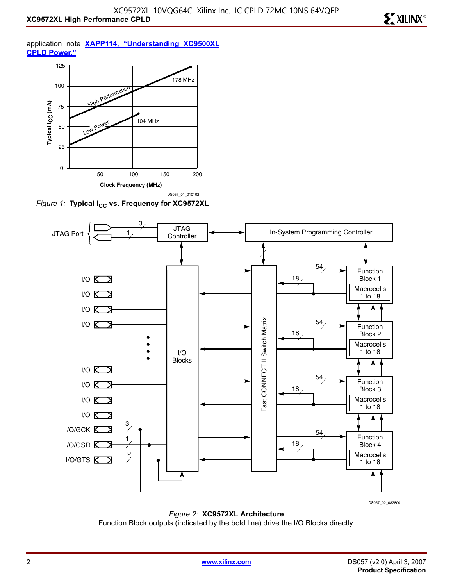application note **[XAPP114, "Understanding XC9500XL](http://direct.xilinx.com/bvdocs/appnotes/xapp114.pdf) [CPLD Power."](http://direct.xilinx.com/bvdocs/appnotes/xapp114.pdf)**



*Figure 1:* Typical I<sub>CC</sub> vs. Frequency for XC9572XL



DS057\_02\_082800

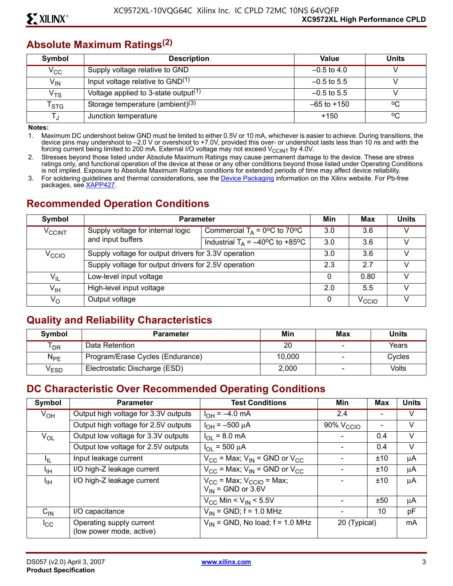#### **Absolute Maximum Ratings(2)**

| Symbol                      | <b>Description</b>                               | Value           | <b>Units</b> |
|-----------------------------|--------------------------------------------------|-----------------|--------------|
| $V_{CC}$                    | Supply voltage relative to GND                   | $-0.5$ to 4.0   |              |
| $V_{\mathsf{IN}}$           | Input voltage relative to GND <sup>(1)</sup>     | $-0.5$ to 5.5   |              |
| $\rm V_{TS}$                | Voltage applied to 3-state output <sup>(1)</sup> | $-0.5$ to 5.5   |              |
| $\mathsf{T}_{\textsf{STG}}$ | Storage temperature (ambient) $(3)$              | $-65$ to $+150$ | °Ω           |
|                             | Junction temperature                             | $+150$          | °C           |

**Notes:** 

1. Maximum DC undershoot below GND must be limited to either 0.5V or 10 mA, whichever is easier to achieve. During transitions, the device pins may undershoot to –2.0 V or overshoot to +7.0V, provided this over- or undershoot lasts less than 10 ns and with the forcing current being limited to 200 mA. External I/O voltage may not exceed V $_{\rm CCINT}$  by 4.0V.

2. Stresses beyond those listed under Absolute Maximum Ratings may cause permanent damage to the device. These are stress ratings only, and functional operation of the device at these or any other conditions beyond those listed under Operating Conditions is not implied. Exposure to Absolute Maximum Ratings conditions for extended periods of time may affect device reliability.

3. For soldering guidelines and thermal considerations, see the [Device Packaging](http://www.xilinx.com/xlnx/xweb/xil_publications_index.jsp?category=Package+Drawings) information on the Xilinx website. For Pb-free packages, see [XAPP427](http://direct.xilinx.com/bvdocs/appnotes/xapp427.pdf).

## **Recommended Operation Conditions**

| Symbol                     | <b>Parameter</b>                                     |                                                          | Min               | Max  | <b>Units</b> |
|----------------------------|------------------------------------------------------|----------------------------------------------------------|-------------------|------|--------------|
| $V_{\text{CCINT}}$         | Supply voltage for internal logic                    | Commercial $T_A = 0$ <sup>o</sup> C to 70 <sup>o</sup> C |                   | 3.6  |              |
|                            | and input buffers                                    | Industrial $T_A = -40^{\circ}C$ to +85°C                 | 3.0               | 3.6  |              |
| $V_{\rm CCIO}$             |                                                      | Supply voltage for output drivers for 3.3V operation     |                   |      |              |
|                            | Supply voltage for output drivers for 2.5V operation | 2.3                                                      | 27                |      |              |
| $\mathsf{V}_{\mathsf{IL}}$ | Low-level input voltage                              |                                                          | 0                 | 0.80 |              |
| $\mathsf{V}_{\mathsf{IH}}$ | High-level input voltage                             |                                                          | 2.0               | 5.5  |              |
| $V_{\rm O}$                | Output voltage                                       | 0                                                        | V <sub>CCIO</sub> |      |              |

#### **Quality and Reliability Characteristics**

| <b>Symbol</b>    | <b>Parameter</b>                 | Min    | Max | <b>Units</b> |
|------------------|----------------------------------|--------|-----|--------------|
| $'$ DR           | Data Retention                   | 20     |     | Years        |
| $N_{PF}$         | Program/Erase Cycles (Endurance) | 10.000 | -   | Cycles       |
| <sup>V</sup> ESD | Electrostatic Discharge (ESD)    | 2,000  | -   | Volts        |

#### **DC Characteristic Over Recommended Operating Conditions**

| <b>Symbol</b>     | <b>Parameter</b>                                     | <b>Test Conditions</b>                                      | Min                   | <b>Max</b> | <b>Units</b> |
|-------------------|------------------------------------------------------|-------------------------------------------------------------|-----------------------|------------|--------------|
| $V_{OH}$          | Output high voltage for 3.3V outputs                 | $I_{OH} = -4.0$ mA                                          | 2.4                   |            | V            |
|                   | Output high voltage for 2.5V outputs                 | $I_{OH} = -500 \mu A$                                       | 90% V <sub>CCIO</sub> |            | V            |
| $V_{OL}$          | Output low voltage for 3.3V outputs                  | $I_{OL} = 8.0$ mA                                           |                       | 0.4        | $\vee$       |
|                   | Output low voltage for 2.5V outputs                  | $I_{OL}$ = 500 $\mu$ A                                      |                       | 0.4        | $\vee$       |
| I <sub>IL</sub>   | Input leakage current                                | $V_{CC}$ = Max; $V_{IN}$ = GND or $V_{CC}$                  |                       | ±10        | μA           |
| <sup>I</sup> IH   | I/O high-Z leakage current                           | $V_{CC}$ = Max; $V_{IN}$ = GND or $V_{CC}$                  |                       | ±10        | μA           |
| $I_{\text{IH}}$   | I/O high-Z leakage current                           | $V_{CC}$ = Max; $V_{CCIO}$ = Max;<br>$V_{IN}$ = GND or 3.6V |                       | ±10        | μA           |
|                   |                                                      | $V_{CC}$ Min < $V_{IN}$ < 5.5V                              |                       | ±50        | μA           |
| $C_{\mathsf{IN}}$ | I/O capacitance                                      | $V_{IN}$ = GND; f = 1.0 MHz                                 |                       | 10         | pF           |
| $I_{\rm CC}$      | Operating supply current<br>(low power mode, active) | $V_{IN}$ = GND, No load; f = 1.0 MHz                        | 20 (Typical)          |            | mA           |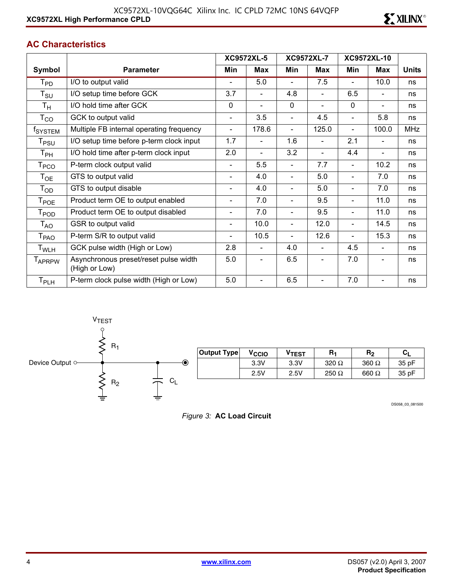#### **AC Characteristics**

|                             |                                                        |                              | <b>XC9572XL-5</b>        |                          | <b>XC9572XL-7</b>        |                | <b>XC9572XL-10</b>       |              |
|-----------------------------|--------------------------------------------------------|------------------------------|--------------------------|--------------------------|--------------------------|----------------|--------------------------|--------------|
| Symbol                      | <b>Parameter</b>                                       | Min                          | <b>Max</b>               | Min                      | Max                      | Min            | <b>Max</b>               | <b>Units</b> |
| $\mathsf{T}_{\mathsf{PD}}$  | I/O to output valid                                    |                              | 5.0                      |                          | 7.5                      |                | 10.0                     | ns           |
| $\mathsf{T}_{\mathsf{SU}}$  | I/O setup time before GCK                              | 3.7                          |                          | 4.8                      |                          | 6.5            |                          | ns           |
| $T_{\rm H}$                 | I/O hold time after GCK                                | $\mathbf 0$                  | $\overline{\phantom{0}}$ | $\mathbf 0$              | $\blacksquare$           | $\mathbf 0$    | $\blacksquare$           | ns           |
| $\mathsf{T}_{\mathsf{CO}}$  | GCK to output valid                                    | $\overline{\phantom{a}}$     | 3.5                      | $\overline{\phantom{a}}$ | 4.5                      | $\blacksquare$ | 5.8                      | ns           |
| f <sub>SYSTEM</sub>         | Multiple FB internal operating frequency               | $\overline{\phantom{a}}$     | 178.6                    | $\blacksquare$           | 125.0                    | $\blacksquare$ | 100.0                    | <b>MHz</b>   |
| $\mathsf{T}_{\mathsf{PSU}}$ | I/O setup time before p-term clock input               | 1.7                          |                          | 1.6                      | $\overline{\phantom{0}}$ | 2.1            | $\blacksquare$           | ns           |
| Т <sub>РН</sub>             | I/O hold time after p-term clock input                 | 2.0                          |                          | 3.2                      |                          | 4.4            |                          | ns           |
| T <sub>PCO</sub>            | P-term clock output valid                              | $\overline{\phantom{a}}$     | 5.5                      |                          | 7.7                      |                | 10.2                     | ns           |
| $T_{OE}$                    | GTS to output valid                                    | $\blacksquare$               | 4.0                      | $\blacksquare$           | 5.0                      | ÷              | 7.0                      | ns           |
| $\mathsf{T}_{\mathsf{OD}}$  | GTS to output disable                                  | $\overline{\phantom{a}}$     | 4.0                      | $\overline{\phantom{a}}$ | 5.0                      | Ξ.             | 7.0                      | ns           |
| $\mathsf{T}_{\mathsf{POE}}$ | Product term OE to output enabled                      | $\overline{\phantom{a}}$     | 7.0                      | $\blacksquare$           | 9.5                      | $\blacksquare$ | 11.0                     | ns           |
| $\mathsf{T}_{\mathsf{POD}}$ | Product term OE to output disabled                     | $\overline{\phantom{a}}$     | 7.0                      |                          | 9.5                      |                | 11.0                     | ns           |
| $\mathsf{T}_{\mathsf{AO}}$  | GSR to output valid                                    | $\overline{\phantom{a}}$     | 10.0                     | $\blacksquare$           | 12.0                     | $\blacksquare$ | 14.5                     | ns           |
| T <sub>PAO</sub>            | P-term S/R to output valid                             | $\qquad \qquad \blacksquare$ | 10.5                     | $\blacksquare$           | 12.6                     | $\blacksquare$ | 15.3                     | ns           |
| T <sub>WLH</sub>            | GCK pulse width (High or Low)                          | 2.8                          | -                        | 4.0                      | $\overline{\phantom{0}}$ | 4.5            | $\overline{\phantom{a}}$ | ns           |
| <b>TAPRPW</b>               | Asynchronous preset/reset pulse width<br>(High or Low) | 5.0                          | $\overline{\phantom{0}}$ | 6.5                      | $\blacksquare$           | 7.0            | $\overline{\phantom{a}}$ | ns           |
| $\mathsf{T}_{\mathsf{PLH}}$ | P-term clock pulse width (High or Low)                 | 5.0                          |                          | 6.5                      |                          | $7.0$          |                          | ns           |



| Output Type | Vccio | $\mathsf{v}_{\texttt{TEST}}$ | R1           | R <sub>2</sub> | C <sub>I</sub> |
|-------------|-------|------------------------------|--------------|----------------|----------------|
|             | 3.3V  | 3.3V                         | 320 $\Omega$ | $360 \Omega$   | 35 pF          |
|             | 2.5V  | 2.5V                         | 250 $\Omega$ | 660 $\Omega$   | 35 pF          |

DS058\_03\_081500

*Figure 3:* **AC Load Circuit**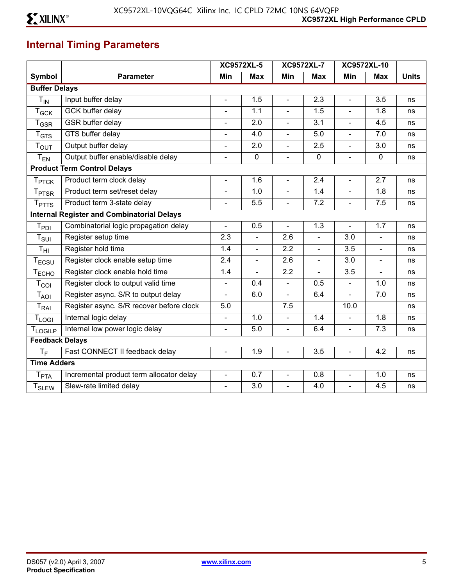# **Internal Timing Parameters**

|                             |                                                   |                          | <b>XC9572XL-5</b> |                | <b>XC9572XL-7</b> | XC9572XL-10    |                |              |
|-----------------------------|---------------------------------------------------|--------------------------|-------------------|----------------|-------------------|----------------|----------------|--------------|
| Symbol                      | <b>Parameter</b>                                  | Min                      | <b>Max</b>        | Min            | <b>Max</b>        | Min            | <b>Max</b>     | <b>Units</b> |
| <b>Buffer Delays</b>        |                                                   |                          |                   |                |                   |                |                |              |
| $T_{IN}$                    | Input buffer delay                                | $\blacksquare$           | 1.5               | $\blacksquare$ | 2.3               | $\equiv$       | 3.5            | ns           |
| $T_{GCK}$                   | GCK buffer delay                                  | $\blacksquare$           | 1.1               | $\blacksquare$ | 1.5               | $\blacksquare$ | 1.8            | ns           |
| $\mathsf{T}_{\mathsf{GSR}}$ | GSR buffer delay                                  | $\blacksquare$           | 2.0               | $\blacksquare$ | 3.1               | $\blacksquare$ | 4.5            | ns           |
| $T_{GTS}$                   | GTS buffer delay                                  | $\blacksquare$           | 4.0               | $\blacksquare$ | 5.0               | $\blacksquare$ | 7.0            | ns           |
| T <sub>OUT</sub>            | Output buffer delay                               | $\overline{\phantom{a}}$ | 2.0               | $\blacksquare$ | 2.5               | $\blacksquare$ | 3.0            | ns           |
| $T_{EN}$                    | Output buffer enable/disable delay                | $\overline{a}$           | $\mathbf 0$       | $\blacksquare$ | $\mathbf 0$       | $\equiv$       | $\mathbf 0$    | ns           |
|                             | <b>Product Term Control Delays</b>                |                          |                   |                |                   |                |                |              |
| T <sub>PTCK</sub>           | Product term clock delay                          | $\blacksquare$           | 1.6               | $\blacksquare$ | 2.4               | $\blacksquare$ | 2.7            | ns           |
| $T_{\rm{PTSR}}$             | Product term set/reset delay                      | $\blacksquare$           | 1.0               | $\blacksquare$ | 1.4               | $\blacksquare$ | 1.8            | ns           |
| <b>T</b> <sub>PTTS</sub>    | Product term 3-state delay                        | $\blacksquare$           | 5.5               | $\blacksquare$ | 7.2               | $\mathbf{r}$   | 7.5            | ns           |
|                             | <b>Internal Register and Combinatorial Delays</b> |                          |                   |                |                   |                |                |              |
| $T_{PDI}$                   | Combinatorial logic propagation delay             | $\blacksquare$           | 0.5               | $\blacksquare$ | 1.3               | $\blacksquare$ | 1.7            | ns           |
| $T_{\text{SUI}}$            | Register setup time                               | 2.3                      | $\blacksquare$    | 2.6            |                   | 3.0            | $\blacksquare$ | ns           |
| $T_{\text{HI}}$             | Register hold time                                | 1.4                      | $\blacksquare$    | 2.2            | $\overline{a}$    | 3.5            | $\blacksquare$ | ns           |
| $T_{ECSU}$                  | Register clock enable setup time                  | 2.4                      | $\blacksquare$    | 2.6            | $\blacksquare$    | 3.0            | $\blacksquare$ | ns           |
| T <sub>ECHO</sub>           | Register clock enable hold time                   | 1.4                      | $\mathbf{r}$      | 2.2            | $\blacksquare$    | 3.5            | $\equiv$       | ns           |
| $T_{COI}$                   | Register clock to output valid time               | $\blacksquare$           | 0.4               | $\blacksquare$ | 0.5               | $\blacksquare$ | 1.0            | ns           |
| $T_{AOI}$                   | Register async. S/R to output delay               | $\overline{a}$           | 6.0               | $\blacksquare$ | 6.4               | $\overline{a}$ | 7.0            | ns           |
| $\mathsf{T}_{\mathsf{RAI}}$ | Register async. S/R recover before clock          | 5.0                      |                   | 7.5            |                   | 10.0           |                | ns           |
| $T_{LOGI}$                  | Internal logic delay                              | $\equiv$                 | 1.0               |                | 1.4               |                | 1.8            | ns           |
| <b>TLOGILP</b>              | Internal low power logic delay                    | $\blacksquare$           | 5.0               | $\mathbf{r}$   | 6.4               | $\blacksquare$ | 7.3            | ns           |
| <b>Feedback Delays</b>      |                                                   |                          |                   |                |                   |                |                |              |
| $T_F$                       | Fast CONNECT II feedback delay                    | ä,                       | 1.9               | $\blacksquare$ | 3.5               | $\blacksquare$ | 4.2            | ns           |
| <b>Time Adders</b>          |                                                   |                          |                   |                |                   |                |                |              |
| $T_{\sf PTA}$               | Incremental product term allocator delay          | $\overline{a}$           | 0.7               | $\blacksquare$ | 0.8               | $\overline{a}$ | 1.0            | ns           |
| <b>T</b> <sub>SLEW</sub>    | Slew-rate limited delay                           | ä,                       | 3.0               | $\blacksquare$ | 4.0               | $\blacksquare$ | 4.5            | ns           |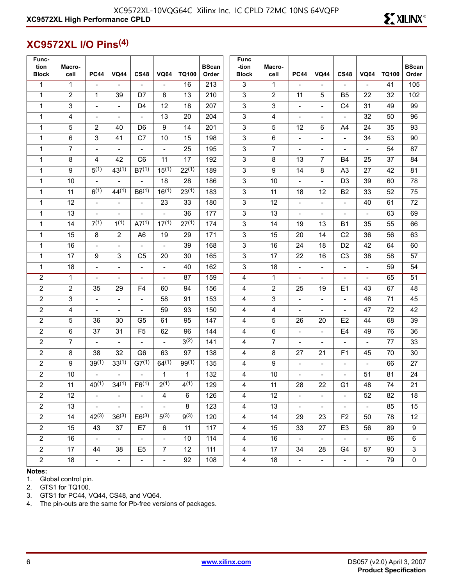# **EXILINX®**

#### **XC9572XL I/O Pins(4)**

| Func-<br>tion<br><b>Block</b> | Macro-<br>cell  | <b>PC44</b>              | <b>VQ44</b>              | <b>CS48</b>              | <b>VQ64</b>              | TQ100       | <b>BScan</b><br>Order | <b>Func</b><br>-tion<br><b>Block</b> | Macro-<br>cell | <b>PC44</b>              | <b>VQ44</b>              | <b>CS48</b>                 | <b>VQ64</b>              | <b>TQ100</b> | <b>BScan</b><br>Order     |
|-------------------------------|-----------------|--------------------------|--------------------------|--------------------------|--------------------------|-------------|-----------------------|--------------------------------------|----------------|--------------------------|--------------------------|-----------------------------|--------------------------|--------------|---------------------------|
| $\mathbf{1}$                  | $\mathbf{1}$    | $\blacksquare$           | $\blacksquare$           | $\blacksquare$           | $\blacksquare$           | 16          | 213                   | $\overline{3}$                       | $\mathbf{1}$   | $\blacksquare$           | $\blacksquare$           | $\blacksquare$              | $\blacksquare$           | 41           | 105                       |
| $\mathbf{1}$                  | 2               | $\mathbf{1}$             | 39                       | D7                       | 8                        | 13          | 210                   | $\mathfrak{S}$                       | $\overline{2}$ | 11                       | 5                        | B <sub>5</sub>              | 22                       | 32           | 102                       |
| $\mathbf{1}$                  | 3               | $\blacksquare$           | $\blacksquare$           | D <sub>4</sub>           | 12                       | 18          | 207                   | $\sqrt{3}$                           | 3              | $\blacksquare$           | $\blacksquare$           | C <sub>4</sub>              | 31                       | 49           | 99                        |
| $\mathbf{1}$                  | 4               | $\overline{\phantom{a}}$ | $\overline{\phantom{a}}$ | $\overline{\phantom{a}}$ | 13                       | 20          | 204                   | 3                                    | 4              | $\qquad \qquad -$        | $\overline{\phantom{a}}$ | $\overline{\phantom{a}}$    | 32                       | 50           | 96                        |
| $\mathbf{1}$                  | 5               | $\overline{2}$           | 40                       | D <sub>6</sub>           | 9                        | 14          | 201                   | $\sqrt{3}$                           | 5              | 12                       | 6                        | A <sub>4</sub>              | 24                       | 35           | 93                        |
| $\mathbf{1}$                  | 6               | 3                        | 41                       | C7                       | 10                       | 15          | 198                   | $\sqrt{3}$                           | 6              | $\blacksquare$           | $\overline{a}$           | $\blacksquare$              | 34                       | 53           | 90                        |
| $\mathbf{1}$                  | $\overline{7}$  | $\qquad \qquad -$        | $\overline{\phantom{a}}$ | $\overline{\phantom{a}}$ | $\overline{\phantom{a}}$ | 25          | 195                   | $\sqrt{3}$                           | $\overline{7}$ | $\qquad \qquad -$        | $\overline{\phantom{a}}$ | $\overline{\phantom{a}}$    | ÷                        | 54           | 87                        |
| $\mathbf{1}$                  | 8               | 4                        | 42                       | C <sub>6</sub>           | 11                       | 17          | 192                   | $\mathfrak{S}$                       | 8              | 13                       | $\overline{7}$           | <b>B4</b>                   | 25                       | 37           | 84                        |
| $\mathbf{1}$                  | 9               | $5^{(1)}$                | $43^{(1)}$               | $B7^{(1)}$               | $15^{(1)}$               | $22^{(1)}$  | 189                   | $\sqrt{3}$                           | 9              | 14                       | 8                        | A <sub>3</sub>              | 27                       | 42           | 81                        |
| $\mathbf{1}$                  | 10              | $\blacksquare$           | $\blacksquare$           | $\blacksquare$           | 18                       | 28          | 186                   | $\sqrt{3}$                           | 10             | $\overline{\phantom{a}}$ | $\blacksquare$           | D <sub>3</sub>              | 39                       | 60           | 78                        |
| $\mathbf{1}$                  | 11              | 6(1)                     | 44(1)                    | B6(1)                    | $16^{(1)}$               | $23^{(1)}$  | 183                   | $\sqrt{3}$                           | 11             | 18                       | 12                       | <b>B2</b>                   | 33                       | 52           | 75                        |
| 1                             | 12              | $\frac{1}{2}$            | $\blacksquare$           | $\overline{\phantom{a}}$ | 23                       | 33          | 180                   | $\mathsf 3$                          | 12             | $\frac{1}{2}$            | $\overline{\phantom{a}}$ | $\overline{\phantom{a}}$    | 40                       | 61           | 72                        |
| $\mathbf{1}$                  | 13              | $\overline{a}$           |                          |                          | $\blacksquare$           | 36          | 177                   | $\mathsf 3$                          | 13             | $\blacksquare$           | $\overline{a}$           | $\overline{a}$              | L,                       | 63           | 69                        |
| $\mathbf{1}$                  | 14              | 7(1)                     | 1(1)                     | A7 <sup>(1)</sup>        | $17^{(1)}$               | $27^{(1)}$  | 174                   | $\mathbf{3}$                         | 14             | 19                       | 13                       | <b>B1</b>                   | 35                       | 55           | 66                        |
| $\mathbf{1}$                  | 15              | 8                        | $\overline{2}$           | A <sub>6</sub>           | 19                       | 29          | 171                   | $\mathsf 3$                          | 15             | 20                       | 14                       | C <sub>2</sub>              | 36                       | 56           | 63                        |
| $\mathbf{1}$                  | 16              | $\qquad \qquad -$        | $\overline{\phantom{a}}$ | $\overline{\phantom{a}}$ | $\overline{\phantom{a}}$ | 39          | 168                   | 3                                    | 16             | 24                       | 18                       | D <sub>2</sub>              | 42                       | 64           | 60                        |
| $\mathbf{1}$                  | 17              | 9                        | 3                        | C <sub>5</sub>           | 20                       | 30          | 165                   | $\mathsf 3$                          | 17             | 22                       | 16                       | C <sub>3</sub>              | 38                       | 58           | 57                        |
| $\mathbf{1}$                  | 18              | $\overline{a}$           | $\overline{a}$           | $\overline{\phantom{a}}$ | $\overline{a}$           | 40          | 162                   | $\mathsf 3$                          | 18             | $\blacksquare$           | $\overline{a}$           | $\blacksquare$              | L,                       | 59           | 54                        |
| $\mathbf 2$                   | $\mathbf{1}$    | $\frac{1}{2}$            | $\overline{\phantom{a}}$ | $\overline{\phantom{a}}$ | $\blacksquare$           | 87          | 159                   | $\overline{\mathbf{4}}$              | 1              | $\frac{1}{2}$            | $\overline{\phantom{a}}$ | $\overline{\phantom{a}}$    | $\blacksquare$           | 65           | 51                        |
| $\overline{2}$                | $\overline{2}$  | 35                       | 29                       | F <sub>4</sub>           | 60                       | 94          | 156                   | $\overline{4}$                       | $\overline{2}$ | 25                       | 19                       | E1                          | 43                       | 67           | 48                        |
| $\mathbf 2$                   | 3               | $\blacksquare$           | $\blacksquare$           | $\overline{a}$           | 58                       | 91          | 153                   | 4                                    | 3              | $\overline{a}$           | $\blacksquare$           | $\overline{\phantom{a}}$    | 46                       | 71           | 45                        |
| $\overline{2}$                | 4               | $\frac{1}{2}$            | $\overline{\phantom{a}}$ | $\overline{\phantom{m}}$ | 59                       | 93          | 150                   | 4                                    | 4              | $\frac{1}{2}$            | $\overline{\phantom{a}}$ | $\overline{\phantom{a}}$    | 47                       | 72           | 42                        |
| $\overline{2}$                | 5               | 36                       | 30                       | G <sub>5</sub>           | 61                       | 95          | 147                   | 4                                    | 5              | 26                       | 20                       | E2                          | 44                       | 68           | 39                        |
| $\overline{2}$                | 6               | 37                       | 31                       | F <sub>5</sub>           | 62                       | 96          | 144                   | 4                                    | 6              | $\overline{\phantom{a}}$ | $\overline{\phantom{a}}$ | E <sub>4</sub>              | 49                       | 76           | 36                        |
| $\overline{c}$                | $\overline{7}$  | $\overline{\phantom{0}}$ | $\blacksquare$           | $\overline{\phantom{a}}$ | $\blacksquare$           | $3^{(2)}$   | 141                   | 4                                    | $\overline{7}$ | $\overline{\phantom{a}}$ | $\overline{\phantom{a}}$ | $\blacksquare$              | $\overline{a}$           | 77           | 33                        |
| $\overline{2}$                | 8               | 38                       | 32                       | G <sub>6</sub>           | 63                       | 97          | 138                   | 4                                    | 8              | 27                       | 21                       | F1                          | 45                       | 70           | 30                        |
| $\overline{2}$                | 9               | $39^{(1)}$               | $33^{(1)}$               | $\overline{G7^{(1)}}$    | $64^{(1)}$               | $99^{(1)}$  | 135                   | 4                                    | 9              | $\blacksquare$           | $\overline{a}$           | $\blacksquare$              | L,                       | 66           | 27                        |
| $\overline{\mathbf{c}}$       | 10              | $\blacksquare$           | $\blacksquare$           | $\blacksquare$           | $\mathbf{1}$             | $\mathbf 1$ | 132                   | 4                                    | 10             | $\overline{\phantom{a}}$ | $\blacksquare$           | $\overline{\phantom{a}}$    | 51                       | 81           | 24                        |
| $\overline{2}$                | 11              | $40^{(1)}$               | $34^{(1)}$               | $F6^{(1)}$               | $2^{(1)}$                | 4(1)        | 129                   | 4                                    | 11             | 28                       | 22                       | G1                          | 48                       | 74           | $\overline{21}$           |
| $\overline{2}$                | 12              |                          |                          |                          | 4                        | 6           | 126                   | 4                                    | 12             |                          | $\overline{\phantom{a}}$ |                             | 52                       | 82           | 18                        |
| $\overline{2}$                | 13 <sup>°</sup> | $\sim$ .                 | $\sim$                   | $\blacksquare$           | $\blacksquare$           | 8           | 123                   | $\overline{4}$                       | 13             | $\blacksquare$           | $\blacksquare$           | $\blacksquare$              | $\overline{\phantom{a}}$ | 85           | 15                        |
| $\overline{2}$                | 14              | $42^{(3)}$               | $36^{(3)}$               | $E6^{(3)}$               | $5^{(3)}$                | $9^{(3)}$   | 120                   | $\overline{4}$                       | 14             | 29                       | 23                       | F <sub>2</sub>              | 50                       | 78           | 12                        |
| $\overline{2}$                | 15              | 43                       | 37                       | E7                       | 6                        | 11          | 117                   | $\overline{4}$                       | 15             | 33                       | 27                       | E <sub>3</sub>              | 56                       | 89           | $\boldsymbol{9}$          |
| $2^{\circ}$                   | 16              | $\omega_{\rm c}$         | $\sim$                   | $\sim$                   | $\omega_{\rm c}$         | 10          | 114                   | 4                                    | 16             | $\omega$                 | $\omega_{\rm c}$         | $\mathcal{L}_{\mathcal{A}}$ | $\omega_{\rm c}$         | 86           | $\,6\,$                   |
| $\overline{2}$                | 17              | 44                       | 38                       | E <sub>5</sub>           | $\overline{7}$           | 12          | 111                   | $\overline{4}$                       | 17             | 34                       | 28                       | G4                          | 57                       | 90           | $\ensuremath{\mathsf{3}}$ |
| $\overline{2}$                | 18              | $\blacksquare$           | $\blacksquare$           | $\pm$                    | $\omega_{\rm c}$         | 92          | 108                   | $\overline{4}$                       | 18             | $\equiv$                 | $\pm$                    | $\overline{\phantom{a}}$    | $\omega_{\rm c}$         | 79           | $\pmb{0}$                 |

**Notes:** 

1. Global control pin.

2. GTS1 for TQ100.

3. GTS1 for PC44, VQ44, CS48, and VQ64.

4. The pin-outs are the same for Pb-free versions of packages.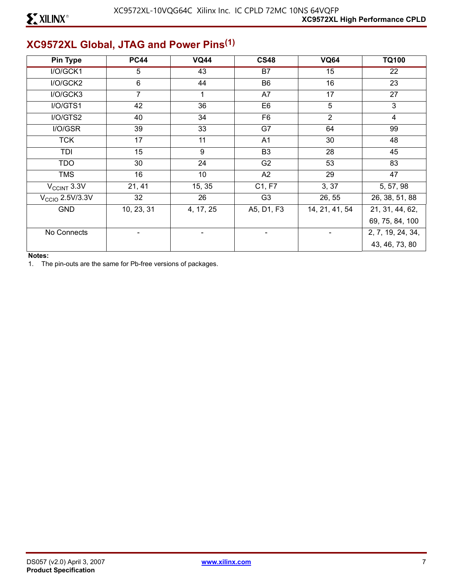# **XC9572XL Global, JTAG and Power Pins(1)**

| <b>Pin Type</b>         | <b>PC44</b>     | <b>VQ44</b> | <b>CS48</b>     | <b>VQ64</b>     | <b>TQ100</b>      |
|-------------------------|-----------------|-------------|-----------------|-----------------|-------------------|
| I/O/GCK1                | 5               | 43          | $\overline{B7}$ | $\overline{15}$ | 22                |
| I/O/GCK2                | 6               | 44          | B <sub>6</sub>  | 16              | 23                |
| I/O/GCK3                | $\overline{7}$  |             | A7              | 17              | 27                |
| I/O/GTS1                | 42              | 36          | E <sub>6</sub>  | 5               | 3                 |
| I/O/GTS2                | 40              | 34          | F <sub>6</sub>  | $\overline{2}$  | $\overline{4}$    |
| I/O/GSR                 | 39              | 33          | G7              | 64              | 99                |
| <b>TCK</b>              | 17              | 11          | A1              | 30              | 48                |
| TDI                     | 15              | 9           | B <sub>3</sub>  | 28              | 45                |
| <b>TDO</b>              | 30              | 24          | G <sub>2</sub>  | 53              | 83                |
| <b>TMS</b>              | 16              | 10          | A2              | 29              | 47                |
| $V_{\text{CCINT}}$ 3.3V | 21, 41          | 15, 35      | C1, F7          | 3, 37           | 5, 57, 98         |
| $VCCIO$ 2.5V/3.3V       | 32 <sub>2</sub> | 26          | G <sub>3</sub>  | 26, 55          | 26, 38, 51, 88    |
| <b>GND</b>              | 10, 23, 31      | 4, 17, 25   | A5, D1, F3      | 14, 21, 41, 54  | 21, 31, 44, 62,   |
|                         |                 |             |                 |                 | 69, 75, 84, 100   |
| No Connects             |                 |             |                 |                 | 2, 7, 19, 24, 34, |
|                         |                 |             |                 |                 | 43, 46, 73, 80    |

#### **Notes:**

1. The pin-outs are the same for Pb-free versions of packages.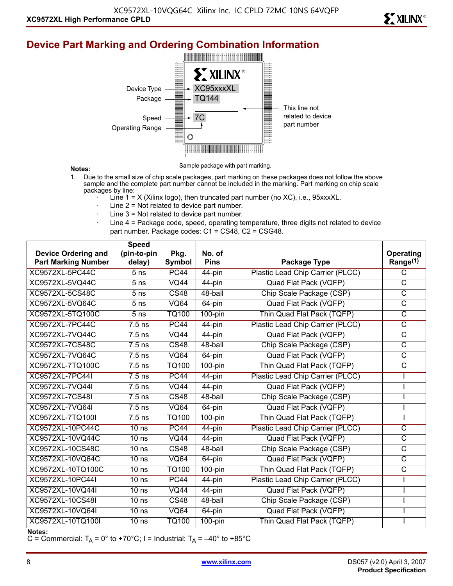# **XXILINX®**

## **Device Part Marking and Ordering Combination Information**



#### **Notes:**

Sample package with part marking.

- 1. Due to the small size of chip scale packages, part marking on these packages does not follow the above sample and the complete part number cannot be included in the marking. Part marking on chip scale packages by line:
	- Line  $1 = X$  (Xilinx logo), then truncated part number (no XC), i.e., 95xxxXL.
	- Line  $2$  = Not related to device part number.
	- Line  $3$  = Not related to device part number.
	- Line 4 = Package code, speed, operating temperature, three digits not related to device part number. Package codes: C1 = CS48, C2 = CSG48.

|                                                          | <b>Speed</b>          |                   |                       |                                         |                                   |
|----------------------------------------------------------|-----------------------|-------------------|-----------------------|-----------------------------------------|-----------------------------------|
| <b>Device Ordering and</b><br><b>Part Marking Number</b> | (pin-to-pin<br>delay) | Pkg.<br>Symbol    | No. of<br><b>Pins</b> | Package Type                            | Operating<br>Range <sup>(1)</sup> |
| XC9572XL-5PC44C                                          | 5 <sub>ns</sub>       | <b>PC44</b>       | 44-pin                | Plastic Lead Chip Carrier (PLCC)        | $\overline{\text{c}}$             |
| XC9572XL-5VQ44C                                          | 5 <sub>ns</sub>       | $\overline{VQ44}$ | 44-pin                | <b>Quad Flat Pack (VQFP)</b>            | $\overline{\text{c}}$             |
| XC9572XL-5CS48C                                          | 5 <sub>ns</sub>       | <b>CS48</b>       | 48-ball               | Chip Scale Package (CSP)                | $\overline{\text{C}}$             |
| XC9572XL-5VQ64C                                          | 5 <sub>ns</sub>       | <b>VQ64</b>       | $64$ -pin             | Quad Flat Pack (VQFP)                   | $\overline{\text{C}}$             |
| XC9572XL-5TQ100C                                         | 5 <sub>ns</sub>       | <b>TQ100</b>      | $100$ -pin            | Thin Quad Flat Pack (TQFP)              | $\overline{\mathsf{C}}$           |
| <b>XC9572XL-7PC44C</b>                                   | $7.5$ ns              | PC44              | $44$ -pin             | Plastic Lead Chip Carrier (PLCC)        | $\overline{\text{c}}$             |
| XC9572XL-7VQ44C                                          | $7.5$ ns              | <b>VQ44</b>       | 44-pin                | Quad Flat Pack (VQFP)                   | $\overline{\text{C}}$             |
| <b>XC9572XL-7CS48C</b>                                   | $7.5$ ns              | <b>CS48</b>       | 48-ball               | Chip Scale Package (CSP)                | $\overline{\text{c}}$             |
| <b>XC9572XL-7VQ64C</b>                                   | $7.5$ ns              | <b>VQ64</b>       | 64-pin                | <b>Quad Flat Pack (VQFP)</b>            | $\overline{\text{C}}$             |
| XC9572XL-7TQ100C                                         | $7.5$ ns              | <b>TQ100</b>      | $100$ -pin            | Thin Quad Flat Pack (TQFP)              | $\overline{\text{C}}$             |
| <b>XC9572XL-7PC44I</b>                                   | $7.5$ ns              | <b>PC44</b>       | $44$ -pin             | Plastic Lead Chip Carrier (PLCC)        |                                   |
| <b>XC9572XL-7VQ44I</b>                                   | $7.5$ ns              | $\overline{VQ44}$ | 44-pin                | Quad Flat Pack (VQFP)                   |                                   |
| <b>XC9572XL-7CS48I</b>                                   | $7.5$ ns              | $\overline{CS48}$ | 48-ball               | Chip Scale Package (CSP)                |                                   |
| <b>XC9572XL-7VQ64I</b>                                   | $7.5$ ns              | $\overline{VQ64}$ | 64-pin                | <b>Quad Flat Pack (VQFP)</b>            |                                   |
| XC9572XL-7TQ100I                                         | $7.5$ ns              | <b>TQ100</b>      | $100$ -pin            | Thin Quad Flat Pack (TQFP)              |                                   |
| <b>XC9572XL-10PC44C</b>                                  | 10 <sub>ns</sub>      | PC44              | $44$ -pin             | Plastic Lead Chip Carrier (PLCC)        | $\overline{\text{c}}$             |
| XC9572XL-10VQ44C                                         | $\overline{10}$ ns    | $\overline{VQ44}$ | 44-pin                | <b>Quad Flat Pack (VQFP)</b>            | $\overline{\text{c}}$             |
| XC9572XL-10CS48C                                         | 10 <sub>ns</sub>      | <b>CS48</b>       | 48-ball               | Chip Scale Package (CSP)                | $\overline{\text{C}}$             |
| XC9572XL-10VQ64C                                         | 10 <sub>ns</sub>      | <b>VQ64</b>       | 64-pin                | Quad Flat Pack (VQFP)                   | $\overline{\text{C}}$             |
| XC9572XL-10TQ100C                                        | 10 <sub>ns</sub>      | <b>TQ100</b>      | $100$ -pin            | Thin Quad Flat Pack (TQFP)              | $\overline{\mathsf{C}}$           |
| <b>XC9572XL-10PC44I</b>                                  | 10 <sub>ns</sub>      | PC44              | $44$ -pin             | <b>Plastic Lead Chip Carrier (PLCC)</b> |                                   |
| XC9572XL-10VQ44I                                         | 10 <sub>ns</sub>      | <b>VQ44</b>       | 44-pin                | Quad Flat Pack (VQFP)                   |                                   |
| XC9572XL-10CS48I                                         | $\overline{10}$ ns    | CS48              | 48-ball               | Chip Scale Package (CSP)                |                                   |
| XC9572XL-10VQ64I                                         | 10 <sub>ns</sub>      | <b>VQ64</b>       | 64-pin                | Quad Flat Pack (VQFP)                   |                                   |
| XC9572XL-10TQ100I                                        | 10 <sub>ns</sub>      | TQ100             | $100$ -pin            | Thin Quad Flat Pack (TQFP)              |                                   |

**Notes:** 

C = Commercial:  $T_A$  = 0° to +70°C; I = Industrial:  $T_A$  = -40° to +85°C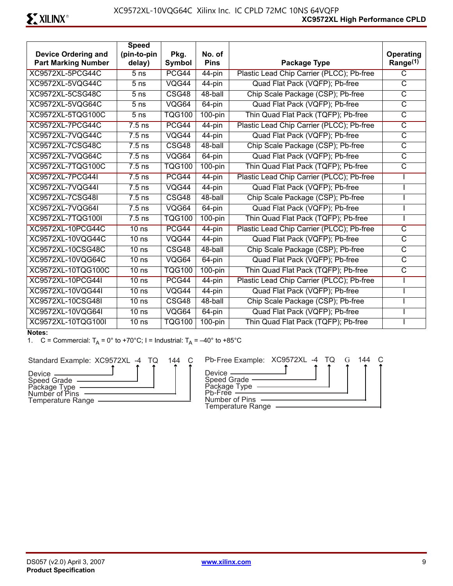| <b>Device Ordering and</b> | <b>Speed</b><br>(pin-to-pin | Pkg.          | No. of      |                                           | Operating               |
|----------------------------|-----------------------------|---------------|-------------|-------------------------------------------|-------------------------|
| <b>Part Marking Number</b> | delay)                      | Symbol        | <b>Pins</b> | Package Type                              | Range <sup>(1)</sup>    |
| XC9572XL-5PCG44C           | $\overline{5}$ ns           | PCG44         | $44$ -pin   | Plastic Lead Chip Carrier (PLCC); Pb-free | $\overline{\text{c}}$   |
| XC9572XL-5VQG44C           | 5 <sub>ns</sub>             | VQG44         | 44-pin      | Quad Flat Pack (VQFP); Pb-free            | $\mathsf{C}$            |
| XC9572XL-5CSG48C           | 5 <sub>ns</sub>             | CSG48         | 48-ball     | Chip Scale Package (CSP); Pb-free         | $\overline{C}$          |
| XC9572XL-5VQG64C           | 5 <sub>ns</sub>             | VQG64         | 64-pin      | Quad Flat Pack (VQFP); Pb-free            | $\overline{\text{C}}$   |
| XC9572XL-5TQG100C          | 5 <sub>ns</sub>             | <b>TQG100</b> | $100$ -pin  | Thin Quad Flat Pack (TQFP); Pb-free       | $\overline{C}$          |
| XC9572XL-7PCG44C           | $7.5$ ns                    | PCG44         | $44$ -pin   | Plastic Lead Chip Carrier (PLCC); Pb-free | $\overline{\text{c}}$   |
| XC9572XL-7VQG44C           | $7.5$ ns                    | VQG44         | 44-pin      | Quad Flat Pack (VQFP); Pb-free            | $\overline{\text{C}}$   |
| XC9572XL-7CSG48C           | $7.5$ ns                    | CSG48         | 48-ball     | Chip Scale Package (CSP); Pb-free         | $\overline{\mathsf{C}}$ |
| XC9572XL-7VQG64C           | $7.5$ ns                    | VQG64         | 64-pin      | Quad Flat Pack (VQFP); Pb-free            | $\overline{C}$          |
| XC9572XL-7TQG100C          | $7.5$ ns                    | <b>TQG100</b> | $100$ -pin  | Thin Quad Flat Pack (TQFP); Pb-free       | $\overline{C}$          |
| <b>XC9572XL-7PCG44I</b>    | $7.5$ ns                    | PCG44         | $44$ -pin   | Plastic Lead Chip Carrier (PLCC); Pb-free |                         |
| XC9572XL-7VQG44I           | $7.5$ ns                    | VQG44         | 44-pin      | Quad Flat Pack (VQFP); Pb-free            |                         |
| <b>XC9572XL-7CSG48I</b>    | $7.5$ ns                    | CSG48         | 48-ball     | Chip Scale Package (CSP); Pb-free         |                         |
| <b>XC9572XL-7VQG64I</b>    | $7.5$ ns                    | VQG64         | 64-pin      | Quad Flat Pack (VQFP); Pb-free            |                         |
| <b>XC9572XL-7TQG100I</b>   | $7.5$ ns                    | <b>TQG100</b> | $100$ -pin  | Thin Quad Flat Pack (TQFP); Pb-free       |                         |
| <b>XC9572XL-10PCG44C</b>   | 10 <sub>ns</sub>            | PCG44         | $44$ -pin   | Plastic Lead Chip Carrier (PLCC); Pb-free | $\overline{\text{c}}$   |
| XC9572XL-10VQG44C          | 10 <sub>ns</sub>            | VQG44         | 44-pin      | Quad Flat Pack (VQFP); Pb-free            | $\overline{C}$          |
| XC9572XL-10CSG48C          | 10 <sub>ns</sub>            | CSG48         | 48-ball     | Chip Scale Package (CSP); Pb-free         | $\overline{\mathsf{C}}$ |
| XC9572XL-10VQG64C          | 10 <sub>ns</sub>            | VQG64         | 64-pin      | Quad Flat Pack (VQFP); Pb-free            | $\overline{\text{C}}$   |
| XC9572XL-10TQG100C         | 10 <sub>ns</sub>            | <b>TQG100</b> | $100$ -pin  | Thin Quad Flat Pack (TQFP); Pb-free       | $\mathsf{C}$            |
| <b>XC9572XL-10PCG44I</b>   | 10 <sub>ns</sub>            | PCG44         | $44$ -pin   | Plastic Lead Chip Carrier (PLCC); Pb-free |                         |
| XC9572XL-10VQG44I          | 10 <sub>ns</sub>            | VQG44         | 44-pin      | Quad Flat Pack (VQFP); Pb-free            |                         |
| XC9572XL-10CSG48I          | 10 <sub>ns</sub>            | CSG48         | 48-ball     | Chip Scale Package (CSP); Pb-free         |                         |
| XC9572XL-10VQG64I          | 10 <sub>ns</sub>            | VQG64         | 64-pin      | Quad Flat Pack (VQFP); Pb-free            |                         |
| XC9572XL-10TQG100I         | 10 <sub>ns</sub>            | <b>TQG100</b> | $100$ -pin  | Thin Quad Flat Pack (TQFP); Pb-free       |                         |

#### **Notes:**

1. C = Commercial:  $T_A = 0^\circ$  to +70°C; I = Industrial:  $T_A = -40^\circ$  to +85°C

Standard Example: XC9572XL -4 TQ



|  | 144 | Pb-Free Example: XC9572XL -4 TQ G                                                                |  |  | 144 |  |
|--|-----|--------------------------------------------------------------------------------------------------|--|--|-----|--|
|  |     | Device $\_\_\_\_\_\_\_\$<br>Speed Grade ——<br>Package Type ——<br>Pb-Free —————<br>Number of Pins |  |  |     |  |
|  |     | <b>Temperature Range</b>                                                                         |  |  |     |  |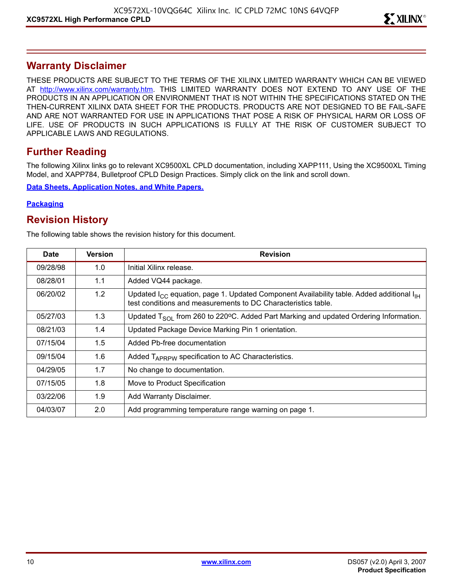#### **Warranty Disclaimer**

THESE PRODUCTS ARE SUBJECT TO THE TERMS OF THE XILINX LIMITED WARRANTY WHICH CAN BE VIEWED AT [http://www.xilinx.com/warranty.htm.](http://www.xilinx.com/warranty.htm) THIS LIMITED WARRANTY DOES NOT EXTEND TO ANY USE OF THE PRODUCTS IN AN APPLICATION OR ENVIRONMENT THAT IS NOT WITHIN THE SPECIFICATIONS STATED ON THE THEN-CURRENT XILINX DATA SHEET FOR THE PRODUCTS. PRODUCTS ARE NOT DESIGNED TO BE FAIL-SAFE AND ARE NOT WARRANTED FOR USE IN APPLICATIONS THAT POSE A RISK OF PHYSICAL HARM OR LOSS OF LIFE. USE OF PRODUCTS IN SUCH APPLICATIONS IS FULLY AT THE RISK OF CUSTOMER SUBJECT TO APPLICABLE LAWS AND REGULATIONS.

#### **Further Reading**

The following Xilinx links go to relevant XC9500XL CPLD documentation, including XAPP111, Using the XC9500XL Timing Model, and XAPP784, Bulletproof CPLD Design Practices. Simply click on the link and scroll down.

**[Data Sheets, Application Notes, and White Papers.](http://www.xilinx.com/xlnx/xweb/xil_publications_display.jsp?sGlobalNavPick=&sSecondaryNavPick=&category=-19216&iLanguageID=1)**

#### **[Packaging](http://www.xilinx.com/xlnx/xweb/xil_publications_index.jsp?sGlobalNavPick=&sSecondaryNavPick=&category=-19166&iLanguageID=1)**

#### **Revision History**

The following table shows the revision history for this document.

| <b>Date</b> | <b>Version</b> | <b>Revision</b>                                                                                                                                                    |
|-------------|----------------|--------------------------------------------------------------------------------------------------------------------------------------------------------------------|
| 09/28/98    | 1.0            | Initial Xilinx release.                                                                                                                                            |
| 08/28/01    | 1.1            | Added VQ44 package.                                                                                                                                                |
| 06/20/02    | 1.2            | Updated $I_{CC}$ equation, page 1. Updated Component Availability table. Added additional $I_{H}$<br>test conditions and measurements to DC Characteristics table. |
| 05/27/03    | 1.3            | Updated $T_{SO1}$ from 260 to 220°C. Added Part Marking and updated Ordering Information.                                                                          |
| 08/21/03    | 1.4            | Updated Package Device Marking Pin 1 orientation.                                                                                                                  |
| 07/15/04    | 1.5            | Added Pb-free documentation                                                                                                                                        |
| 09/15/04    | 1.6            | Added $T_{APRPW}$ specification to AC Characteristics.                                                                                                             |
| 04/29/05    | 1.7            | No change to documentation.                                                                                                                                        |
| 07/15/05    | 1.8            | Move to Product Specification                                                                                                                                      |
| 03/22/06    | 1.9            | Add Warranty Disclaimer.                                                                                                                                           |
| 04/03/07    | 2.0            | Add programming temperature range warning on page 1.                                                                                                               |